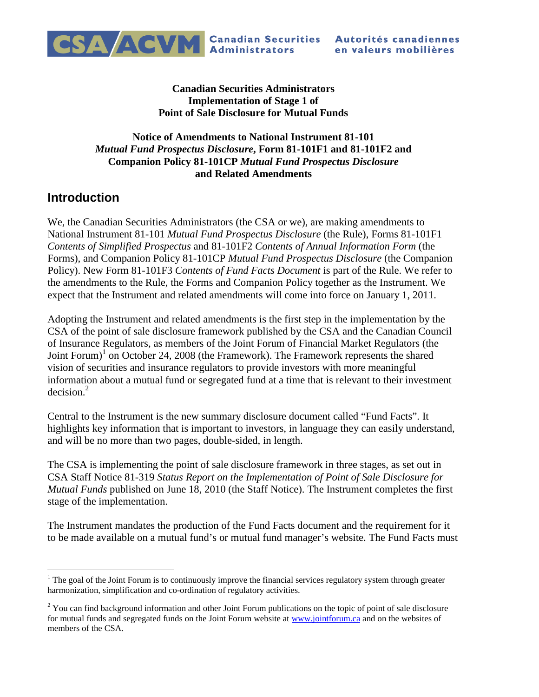

**Canadian Securities Administrators Implementation of Stage 1 of Point of Sale Disclosure for Mutual Funds**

#### **Notice of Amendments to National Instrument 81-101** *Mutual Fund Prospectus Disclosure***, Form 81-101F1 and 81-101F2 and Companion Policy 81-101CP** *Mutual Fund Prospectus Disclosure* **and Related Amendments**

### **Introduction**

We, the Canadian Securities Administrators (the CSA or we), are making amendments to National Instrument 81-101 *Mutual Fund Prospectus Disclosure* (the Rule), Forms 81-101F1 *Contents of Simplified Prospectus* and 81-101F2 *Contents of Annual Information Form* (the Forms), and Companion Policy 81-101CP *Mutual Fund Prospectus Disclosure* (the Companion Policy). New Form 81-101F3 *Contents of Fund Facts Document* is part of the Rule. We refer to the amendments to the Rule, the Forms and Companion Policy together as the Instrument. We expect that the Instrument and related amendments will come into force on January 1, 2011.

Adopting the Instrument and related amendments is the first step in the implementation by the CSA of the point of sale disclosure framework published by the CSA and the Canadian Council of Insurance Regulators, as members of the Joint Forum of Financial Market Regulators (the Joint Forum)<sup>[1](#page-0-0)</sup> on October 24, 2008 (the Framework). The Framework represents the shared vision of securities and insurance regulators to provide investors with more meaningful information about a mutual fund or segregated fund at a time that is relevant to their investment decision.[2](#page-0-1)

Central to the Instrument is the new summary disclosure document called "Fund Facts". It highlights key information that is important to investors, in language they can easily understand, and will be no more than two pages, double-sided, in length.

The CSA is implementing the point of sale disclosure framework in three stages, as set out in CSA Staff Notice 81-319 *Status Report on the Implementation of Point of Sale Disclosure for Mutual Funds* published on June 18, 2010 (the Staff Notice). The Instrument completes the first stage of the implementation.

The Instrument mandates the production of the Fund Facts document and the requirement for it to be made available on a mutual fund's or mutual fund manager's website. The Fund Facts must

<span id="page-0-0"></span> $1$  The goal of the Joint Forum is to continuously improve the financial services regulatory system through greater harmonization, simplification and co-ordination of regulatory activities.

<span id="page-0-1"></span><sup>&</sup>lt;sup>2</sup> You can find background information and other Joint Forum publications on the topic of point of sale disclosure for mutual funds and segregated funds on the Joint Forum website at www.jointforum.ca and on the websites of members of the CSA.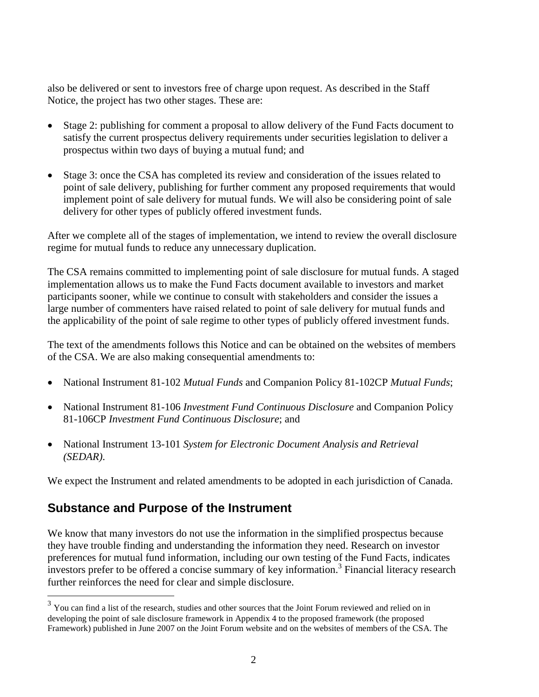also be delivered or sent to investors free of charge upon request. As described in the Staff Notice, the project has two other stages. These are:

- Stage 2: publishing for comment a proposal to allow delivery of the Fund Facts document to satisfy the current prospectus delivery requirements under securities legislation to deliver a prospectus within two days of buying a mutual fund; and
- Stage 3: once the CSA has completed its review and consideration of the issues related to point of sale delivery, publishing for further comment any proposed requirements that would implement point of sale delivery for mutual funds. We will also be considering point of sale delivery for other types of publicly offered investment funds.

After we complete all of the stages of implementation, we intend to review the overall disclosure regime for mutual funds to reduce any unnecessary duplication.

The CSA remains committed to implementing point of sale disclosure for mutual funds. A staged implementation allows us to make the Fund Facts document available to investors and market participants sooner, while we continue to consult with stakeholders and consider the issues a large number of commenters have raised related to point of sale delivery for mutual funds and the applicability of the point of sale regime to other types of publicly offered investment funds.

The text of the amendments follows this Notice and can be obtained on the websites of members of the CSA. We are also making consequential amendments to:

- National Instrument 81-102 *Mutual Funds* and Companion Policy 81-102CP *Mutual Funds*;
- National Instrument 81-106 *Investment Fund Continuous Disclosure* and Companion Policy 81-106CP *Investment Fund Continuous Disclosure*; and
- National Instrument 13-101 *System for Electronic Document Analysis and Retrieval (SEDAR)*.

We expect the Instrument and related amendments to be adopted in each jurisdiction of Canada.

### **Substance and Purpose of the Instrument**

We know that many investors do not use the information in the simplified prospectus because they have trouble finding and understanding the information they need. Research on investor preferences for mutual fund information, including our own testing of the Fund Facts, indicates investors prefer to be offered a concise summary of key information.<sup>[3](#page-1-0)</sup> Financial literacy research further reinforces the need for clear and simple disclosure.

<span id="page-1-0"></span> $3 \text{ You can find a list of the research, studies and other sources that the Joint Forum reviewed and relied on in$ developing the point of sale disclosure framework in Appendix 4 to the proposed framework (the proposed Framework) published in June 2007 on the Joint Forum website and on the websites of members of the CSA. The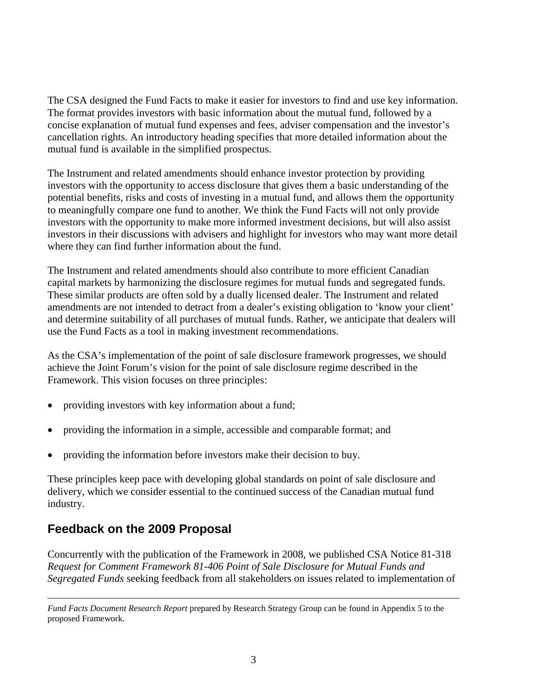The CSA designed the Fund Facts to make it easier for investors to find and use key information. The format provides investors with basic information about the mutual fund, followed by a concise explanation of mutual fund expenses and fees, adviser compensation and the investor's cancellation rights. An introductory heading specifies that more detailed information about the mutual fund is available in the simplified prospectus.

The Instrument and related amendments should enhance investor protection by providing investors with the opportunity to access disclosure that gives them a basic understanding of the potential benefits, risks and costs of investing in a mutual fund, and allows them the opportunity to meaningfully compare one fund to another. We think the Fund Facts will not only provide investors with the opportunity to make more informed investment decisions, but will also assist investors in their discussions with advisers and highlight for investors who may want more detail where they can find further information about the fund.

The Instrument and related amendments should also contribute to more efficient Canadian capital markets by harmonizing the disclosure regimes for mutual funds and segregated funds. These similar products are often sold by a dually licensed dealer. The Instrument and related amendments are not intended to detract from a dealer's existing obligation to 'know your client' and determine suitability of all purchases of mutual funds. Rather, we anticipate that dealers will use the Fund Facts as a tool in making investment recommendations.

As the CSA's implementation of the point of sale disclosure framework progresses, we should achieve the Joint Forum's vision for the point of sale disclosure regime described in the Framework. This vision focuses on three principles:

- providing investors with key information about a fund;
- providing the information in a simple, accessible and comparable format; and
- providing the information before investors make their decision to buy.

These principles keep pace with developing global standards on point of sale disclosure and delivery, which we consider essential to the continued success of the Canadian mutual fund industry.

# **Feedback on the 2009 Proposal**

Concurrently with the publication of the Framework in 2008, we published CSA Notice 81-318 *Request for Comment Framework 81-406 Point of Sale Disclosure for Mutual Funds and Segregated Funds* seeking feedback from all stakeholders on issues related to implementation of

*Fund Facts Document Research Report* prepared by Research Strategy Group can be found in Appendix 5 to the proposed Framework.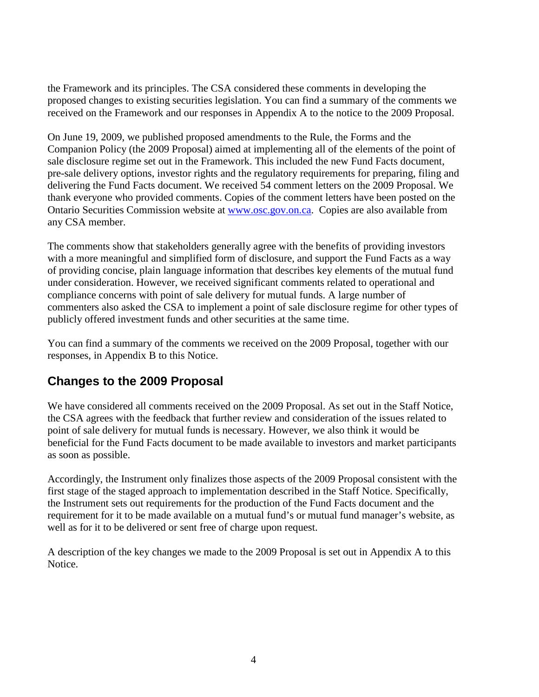the Framework and its principles. The CSA considered these comments in developing the proposed changes to existing securities legislation. You can find a summary of the comments we received on the Framework and our responses in Appendix A to the notice to the 2009 Proposal.

On June 19, 2009, we published proposed amendments to the Rule, the Forms and the Companion Policy (the 2009 Proposal) aimed at implementing all of the elements of the point of sale disclosure regime set out in the Framework. This included the new Fund Facts document, pre-sale delivery options, investor rights and the regulatory requirements for preparing, filing and delivering the Fund Facts document. We received 54 comment letters on the 2009 Proposal. We thank everyone who provided comments. Copies of the comment letters have been posted on the Ontario Securities Commission website at [www.osc.gov.on.ca.](http://www.osc.gov.on.ca/) Copies are also available from any CSA member.

The comments show that stakeholders generally agree with the benefits of providing investors with a more meaningful and simplified form of disclosure, and support the Fund Facts as a way of providing concise, plain language information that describes key elements of the mutual fund under consideration. However, we received significant comments related to operational and compliance concerns with point of sale delivery for mutual funds. A large number of commenters also asked the CSA to implement a point of sale disclosure regime for other types of publicly offered investment funds and other securities at the same time.

You can find a summary of the comments we received on the 2009 Proposal, together with our responses, in Appendix B to this Notice.

# **Changes to the 2009 Proposal**

We have considered all comments received on the 2009 Proposal. As set out in the Staff Notice, the CSA agrees with the feedback that further review and consideration of the issues related to point of sale delivery for mutual funds is necessary. However, we also think it would be beneficial for the Fund Facts document to be made available to investors and market participants as soon as possible.

Accordingly, the Instrument only finalizes those aspects of the 2009 Proposal consistent with the first stage of the staged approach to implementation described in the Staff Notice. Specifically, the Instrument sets out requirements for the production of the Fund Facts document and the requirement for it to be made available on a mutual fund's or mutual fund manager's website, as well as for it to be delivered or sent free of charge upon request.

A description of the key changes we made to the 2009 Proposal is set out in Appendix A to this Notice.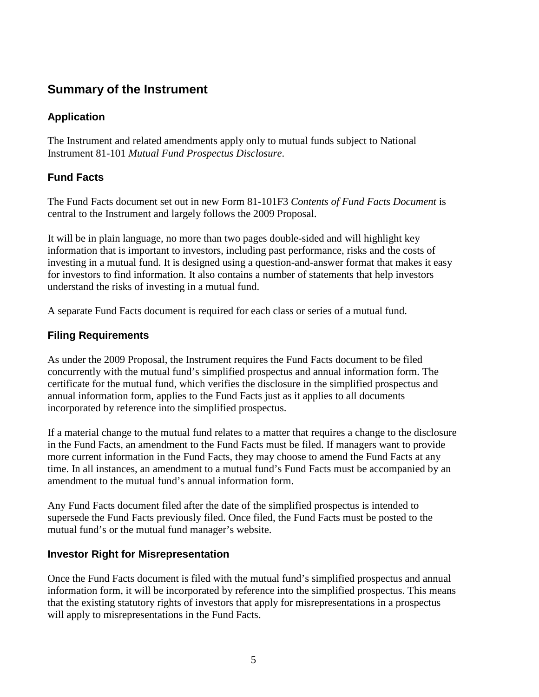## **Summary of the Instrument**

#### **Application**

The Instrument and related amendments apply only to mutual funds subject to National Instrument 81-101 *Mutual Fund Prospectus Disclosure*.

### **Fund Facts**

The Fund Facts document set out in new Form 81-101F3 *Contents of Fund Facts Document* is central to the Instrument and largely follows the 2009 Proposal.

It will be in plain language, no more than two pages double-sided and will highlight key information that is important to investors, including past performance, risks and the costs of investing in a mutual fund. It is designed using a question-and-answer format that makes it easy for investors to find information. It also contains a number of statements that help investors understand the risks of investing in a mutual fund.

A separate Fund Facts document is required for each class or series of a mutual fund.

### **Filing Requirements**

As under the 2009 Proposal, the Instrument requires the Fund Facts document to be filed concurrently with the mutual fund's simplified prospectus and annual information form. The certificate for the mutual fund, which verifies the disclosure in the simplified prospectus and annual information form, applies to the Fund Facts just as it applies to all documents incorporated by reference into the simplified prospectus.

If a material change to the mutual fund relates to a matter that requires a change to the disclosure in the Fund Facts, an amendment to the Fund Facts must be filed. If managers want to provide more current information in the Fund Facts, they may choose to amend the Fund Facts at any time. In all instances, an amendment to a mutual fund's Fund Facts must be accompanied by an amendment to the mutual fund's annual information form.

Any Fund Facts document filed after the date of the simplified prospectus is intended to supersede the Fund Facts previously filed. Once filed, the Fund Facts must be posted to the mutual fund's or the mutual fund manager's website.

#### **Investor Right for Misrepresentation**

Once the Fund Facts document is filed with the mutual fund's simplified prospectus and annual information form, it will be incorporated by reference into the simplified prospectus. This means that the existing statutory rights of investors that apply for misrepresentations in a prospectus will apply to misrepresentations in the Fund Facts.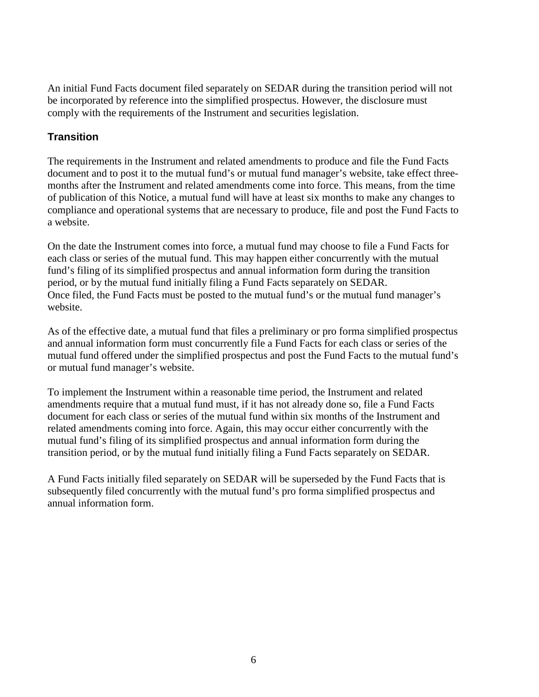An initial Fund Facts document filed separately on SEDAR during the transition period will not be incorporated by reference into the simplified prospectus. However, the disclosure must comply with the requirements of the Instrument and securities legislation.

#### **Transition**

The requirements in the Instrument and related amendments to produce and file the Fund Facts document and to post it to the mutual fund's or mutual fund manager's website, take effect threemonths after the Instrument and related amendments come into force. This means, from the time of publication of this Notice, a mutual fund will have at least six months to make any changes to compliance and operational systems that are necessary to produce, file and post the Fund Facts to a website.

On the date the Instrument comes into force, a mutual fund may choose to file a Fund Facts for each class or series of the mutual fund. This may happen either concurrently with the mutual fund's filing of its simplified prospectus and annual information form during the transition period, or by the mutual fund initially filing a Fund Facts separately on SEDAR. Once filed, the Fund Facts must be posted to the mutual fund's or the mutual fund manager's website.

As of the effective date, a mutual fund that files a preliminary or pro forma simplified prospectus and annual information form must concurrently file a Fund Facts for each class or series of the mutual fund offered under the simplified prospectus and post the Fund Facts to the mutual fund's or mutual fund manager's website.

To implement the Instrument within a reasonable time period, the Instrument and related amendments require that a mutual fund must, if it has not already done so, file a Fund Facts document for each class or series of the mutual fund within six months of the Instrument and related amendments coming into force. Again, this may occur either concurrently with the mutual fund's filing of its simplified prospectus and annual information form during the transition period, or by the mutual fund initially filing a Fund Facts separately on SEDAR.

A Fund Facts initially filed separately on SEDAR will be superseded by the Fund Facts that is subsequently filed concurrently with the mutual fund's pro forma simplified prospectus and annual information form.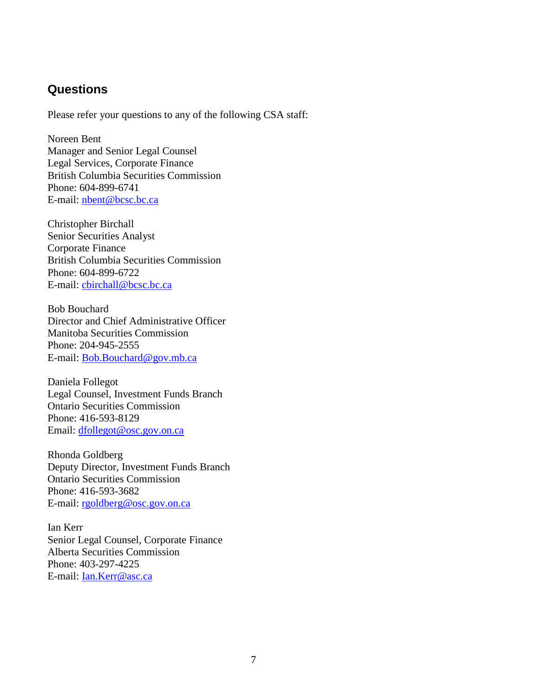### **Questions**

Please refer your questions to any of the following CSA staff:

Noreen Bent Manager and Senior Legal Counsel Legal Services, Corporate Finance British Columbia Securities Commission Phone: 604-899-6741 E-mail: [nbent@bcsc.bc.ca](mailto:nbent@bcsc.bc.ca)

Christopher Birchall Senior Securities Analyst Corporate Finance British Columbia Securities Commission Phone: 604-899-6722 E-mail: [cbirchall@bcsc.bc.ca](mailto:cbirchall@bcsc.bc.ca)

Bob Bouchard Director and Chief Administrative Officer Manitoba Securities Commission Phone: 204-945-2555 E-mail: [Bob.Bouchard@gov.mb.ca](mailto:Bob.Bouchard@gov.mb.ca)

Daniela Follegot Legal Counsel, Investment Funds Branch Ontario Securities Commission Phone: 416-593-8129 Email: [dfollegot@osc.gov.on.ca](mailto:dfollegot@osc.gov.on.ca)

Rhonda Goldberg Deputy Director, Investment Funds Branch Ontario Securities Commission Phone: 416-593-3682 E-mail: [rgoldberg@osc.gov.on.ca](mailto:rgoldberg@osc.gov.on.ca)

Ian Kerr Senior Legal Counsel, Corporate Finance Alberta Securities Commission Phone: 403-297-4225 E-mail: [Ian.Kerr@asc.ca](mailto:Ian.Kerr@asc.ca)